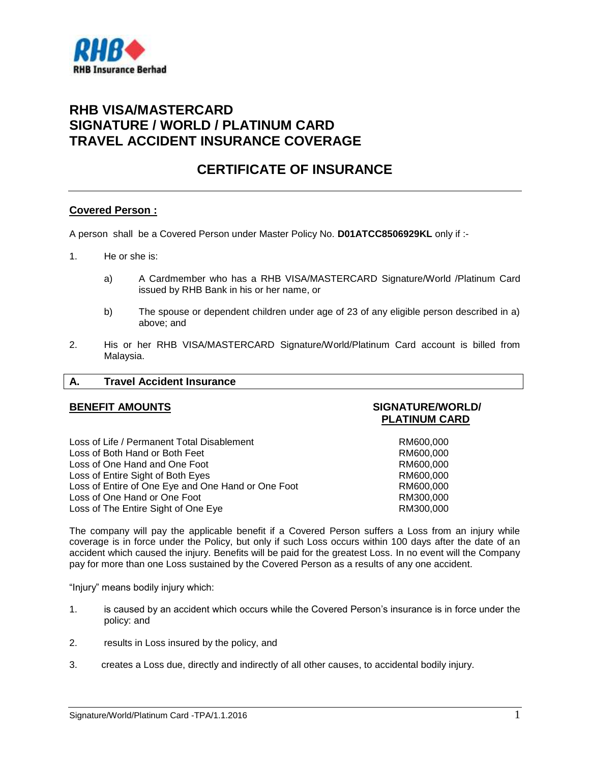

# **RHB VISA/MASTERCARD SIGNATURE / WORLD / PLATINUM CARD TRAVEL ACCIDENT INSURANCE COVERAGE**

# **CERTIFICATE OF INSURANCE**

## **Covered Person :**

A person shall be a Covered Person under Master Policy No. **D01ATCC8506929KL** only if :-

- 1. He or she is:
	- a) A Cardmember who has a RHB VISA/MASTERCARD Signature/World /Platinum Card issued by RHB Bank in his or her name, or
	- b) The spouse or dependent children under age of 23 of any eligible person described in a) above; and

**PLATINUM CARD**

2. His or her RHB VISA/MASTERCARD Signature/World/Platinum Card account is billed from Malaysia.

#### **A. Travel Accident Insurance**

### **BENEFIT AMOUNTS SIGNATURE/WORLD/**

| Loss of Life / Permanent Total Disablement         | RM600.000 |
|----------------------------------------------------|-----------|
| Loss of Both Hand or Both Feet                     | RM600.000 |
| Loss of One Hand and One Foot                      | RM600.000 |
| Loss of Entire Sight of Both Eyes                  | RM600.000 |
| Loss of Entire of One Eye and One Hand or One Foot | RM600.000 |
| Loss of One Hand or One Foot                       | RM300,000 |
| Loss of The Entire Sight of One Eye                | RM300,000 |
|                                                    |           |

The company will pay the applicable benefit if a Covered Person suffers a Loss from an injury while coverage is in force under the Policy, but only if such Loss occurs within 100 days after the date of an accident which caused the injury. Benefits will be paid for the greatest Loss. In no event will the Company pay for more than one Loss sustained by the Covered Person as a results of any one accident.

"Injury" means bodily injury which:

- 1. is caused by an accident which occurs while the Covered Person's insurance is in force under the policy: and
- 2. results in Loss insured by the policy, and
- 3. creates a Loss due, directly and indirectly of all other causes, to accidental bodily injury.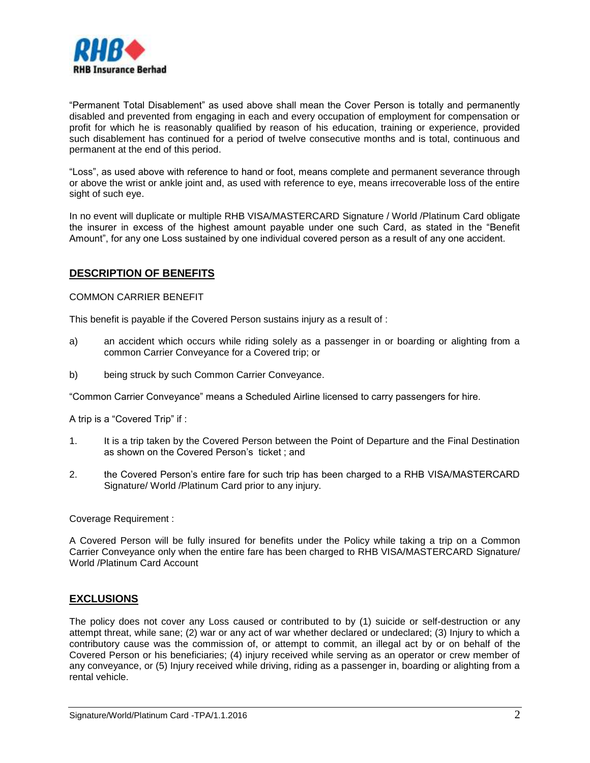

"Permanent Total Disablement" as used above shall mean the Cover Person is totally and permanently disabled and prevented from engaging in each and every occupation of employment for compensation or profit for which he is reasonably qualified by reason of his education, training or experience, provided such disablement has continued for a period of twelve consecutive months and is total, continuous and permanent at the end of this period.

"Loss", as used above with reference to hand or foot, means complete and permanent severance through or above the wrist or ankle joint and, as used with reference to eye, means irrecoverable loss of the entire sight of such eye.

In no event will duplicate or multiple RHB VISA/MASTERCARD Signature / World /Platinum Card obligate the insurer in excess of the highest amount payable under one such Card, as stated in the "Benefit Amount", for any one Loss sustained by one individual covered person as a result of any one accident.

## **DESCRIPTION OF BENEFITS**

#### COMMON CARRIER BENEFIT

This benefit is payable if the Covered Person sustains injury as a result of :

- a) an accident which occurs while riding solely as a passenger in or boarding or alighting from a common Carrier Conveyance for a Covered trip; or
- b) being struck by such Common Carrier Conveyance.

"Common Carrier Conveyance" means a Scheduled Airline licensed to carry passengers for hire.

A trip is a "Covered Trip" if :

- 1. It is a trip taken by the Covered Person between the Point of Departure and the Final Destination as shown on the Covered Person's ticket ; and
- 2. the Covered Person's entire fare for such trip has been charged to a RHB VISA/MASTERCARD Signature/ World /Platinum Card prior to any injury.

Coverage Requirement :

A Covered Person will be fully insured for benefits under the Policy while taking a trip on a Common Carrier Conveyance only when the entire fare has been charged to RHB VISA/MASTERCARD Signature/ World /Platinum Card Account

### **EXCLUSIONS**

The policy does not cover any Loss caused or contributed to by (1) suicide or self-destruction or any attempt threat, while sane; (2) war or any act of war whether declared or undeclared; (3) Injury to which a contributory cause was the commission of, or attempt to commit, an illegal act by or on behalf of the Covered Person or his beneficiaries; (4) injury received while serving as an operator or crew member of any conveyance, or (5) Injury received while driving, riding as a passenger in, boarding or alighting from a rental vehicle.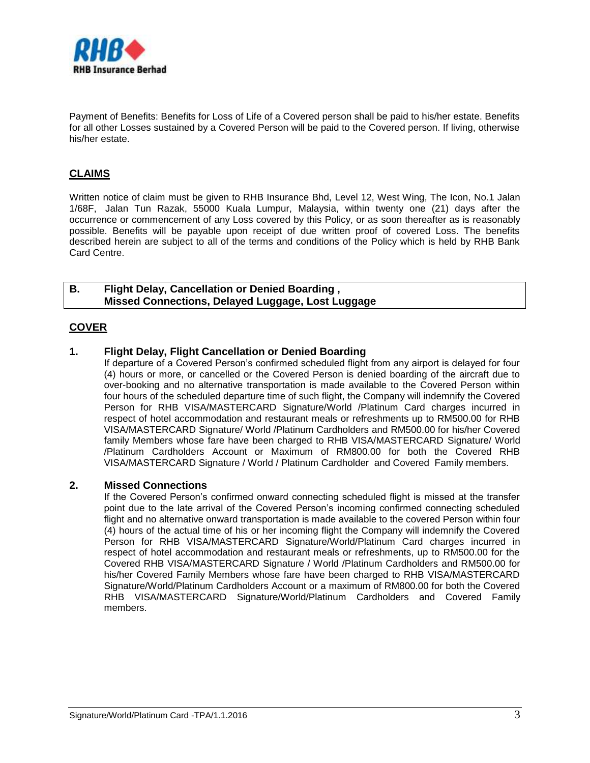

Payment of Benefits: Benefits for Loss of Life of a Covered person shall be paid to his/her estate. Benefits for all other Losses sustained by a Covered Person will be paid to the Covered person. If living, otherwise his/her estate.

## **CLAIMS**

Written notice of claim must be given to RHB Insurance Bhd, Level 12, West Wing, The Icon, No.1 Jalan 1/68F, Jalan Tun Razak, 55000 Kuala Lumpur, Malaysia, within twenty one (21) days after the occurrence or commencement of any Loss covered by this Policy, or as soon thereafter as is reasonably possible. Benefits will be payable upon receipt of due written proof of covered Loss. The benefits described herein are subject to all of the terms and conditions of the Policy which is held by RHB Bank Card Centre.

#### **B. Flight Delay, Cancellation or Denied Boarding , Missed Connections, Delayed Luggage, Lost Luggage**

### **COVER**

### **1. Flight Delay, Flight Cancellation or Denied Boarding**

If departure of a Covered Person's confirmed scheduled flight from any airport is delayed for four (4) hours or more, or cancelled or the Covered Person is denied boarding of the aircraft due to over-booking and no alternative transportation is made available to the Covered Person within four hours of the scheduled departure time of such flight, the Company will indemnify the Covered Person for RHB VISA/MASTERCARD Signature/World /Platinum Card charges incurred in respect of hotel accommodation and restaurant meals or refreshments up to RM500.00 for RHB VISA/MASTERCARD Signature/ World /Platinum Cardholders and RM500.00 for his/her Covered family Members whose fare have been charged to RHB VISA/MASTERCARD Signature/ World /Platinum Cardholders Account or Maximum of RM800.00 for both the Covered RHB VISA/MASTERCARD Signature / World / Platinum Cardholder and Covered Family members.

### **2. Missed Connections**

If the Covered Person's confirmed onward connecting scheduled flight is missed at the transfer point due to the late arrival of the Covered Person's incoming confirmed connecting scheduled flight and no alternative onward transportation is made available to the covered Person within four (4) hours of the actual time of his or her incoming flight the Company will indemnify the Covered Person for RHB VISA/MASTERCARD Signature/World/Platinum Card charges incurred in respect of hotel accommodation and restaurant meals or refreshments, up to RM500.00 for the Covered RHB VISA/MASTERCARD Signature / World /Platinum Cardholders and RM500.00 for his/her Covered Family Members whose fare have been charged to RHB VISA/MASTERCARD Signature/World/Platinum Cardholders Account or a maximum of RM800.00 for both the Covered RHB VISA/MASTERCARD Signature/World/Platinum Cardholders and Covered Family members.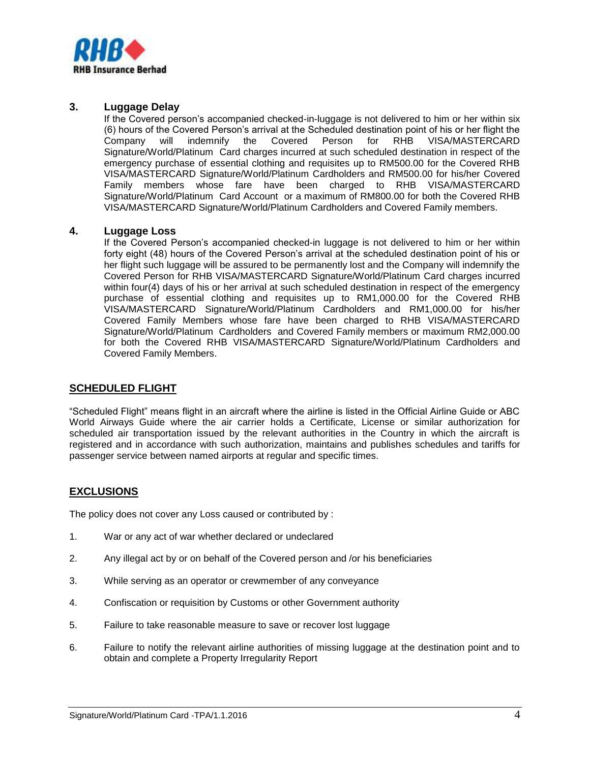

## **3. Luggage Delay**

If the Covered person's accompanied checked-in-luggage is not delivered to him or her within six (6) hours of the Covered Person's arrival at the Scheduled destination point of his or her flight the Company will indemnify the Covered Person for RHB VISA/MASTERCARD Signature/World/Platinum Card charges incurred at such scheduled destination in respect of the emergency purchase of essential clothing and requisites up to RM500.00 for the Covered RHB VISA/MASTERCARD Signature/World/Platinum Cardholders and RM500.00 for his/her Covered Family members whose fare have been charged to RHB VISA/MASTERCARD Signature/World/Platinum Card Account or a maximum of RM800.00 for both the Covered RHB VISA/MASTERCARD Signature/World/Platinum Cardholders and Covered Family members.

### **4. Luggage Loss**

If the Covered Person's accompanied checked-in luggage is not delivered to him or her within forty eight (48) hours of the Covered Person's arrival at the scheduled destination point of his or her flight such luggage will be assured to be permanently lost and the Company will indemnify the Covered Person for RHB VISA/MASTERCARD Signature/World/Platinum Card charges incurred within four(4) days of his or her arrival at such scheduled destination in respect of the emergency purchase of essential clothing and requisites up to RM1,000.00 for the Covered RHB VISA/MASTERCARD Signature/World/Platinum Cardholders and RM1,000.00 for his/her Covered Family Members whose fare have been charged to RHB VISA/MASTERCARD Signature/World/Platinum Cardholders and Covered Family members or maximum RM2,000.00 for both the Covered RHB VISA/MASTERCARD Signature/World/Platinum Cardholders and Covered Family Members.

## **SCHEDULED FLIGHT**

"Scheduled Flight" means flight in an aircraft where the airline is listed in the Official Airline Guide or ABC World Airways Guide where the air carrier holds a Certificate, License or similar authorization for scheduled air transportation issued by the relevant authorities in the Country in which the aircraft is registered and in accordance with such authorization, maintains and publishes schedules and tariffs for passenger service between named airports at regular and specific times.

## **EXCLUSIONS**

The policy does not cover any Loss caused or contributed by :

- 1. War or any act of war whether declared or undeclared
- 2. Any illegal act by or on behalf of the Covered person and /or his beneficiaries
- 3. While serving as an operator or crewmember of any conveyance
- 4. Confiscation or requisition by Customs or other Government authority
- 5. Failure to take reasonable measure to save or recover lost luggage
- 6. Failure to notify the relevant airline authorities of missing luggage at the destination point and to obtain and complete a Property Irregularity Report